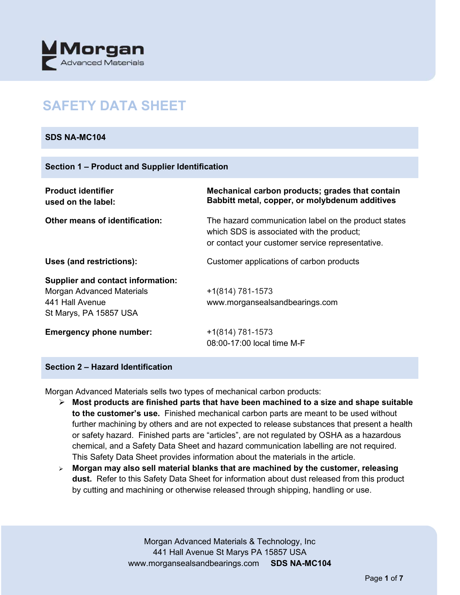

# **SAFETY DATA SHEET**

#### **SDS NA-MC104**

| <b>Product identifier</b><br>used on the label:                                                                           | Mechanical carbon products; grades that contain<br>Babbitt metal, copper, or molybdenum additives                                                     |
|---------------------------------------------------------------------------------------------------------------------------|-------------------------------------------------------------------------------------------------------------------------------------------------------|
| <b>Other means of identification:</b>                                                                                     | The hazard communication label on the product states<br>which SDS is associated with the product;<br>or contact your customer service representative. |
| Uses (and restrictions):                                                                                                  | Customer applications of carbon products                                                                                                              |
| <b>Supplier and contact information:</b><br><b>Morgan Advanced Materials</b><br>441 Hall Avenue<br>St Marys, PA 15857 USA | $+1(814) 781-1573$<br>www.morgansealsandbearings.com                                                                                                  |
| <b>Emergency phone number:</b>                                                                                            | $+1(814) 781-1573$<br>08:00-17:00 local time M-F                                                                                                      |

#### **Section 2 – Hazard Identification**

Morgan Advanced Materials sells two types of mechanical carbon products:

- **Most products are finished parts that have been machined to a size and shape suitable to the customer's use.** Finished mechanical carbon parts are meant to be used without further machining by others and are not expected to release substances that present a health or safety hazard. Finished parts are "articles", are not regulated by OSHA as a hazardous chemical, and a Safety Data Sheet and hazard communication labelling are not required. This Safety Data Sheet provides information about the materials in the article.
- **Morgan may also sell material blanks that are machined by the customer, releasing dust.** Refer to this Safety Data Sheet for information about dust released from this product by cutting and machining or otherwise released through shipping, handling or use.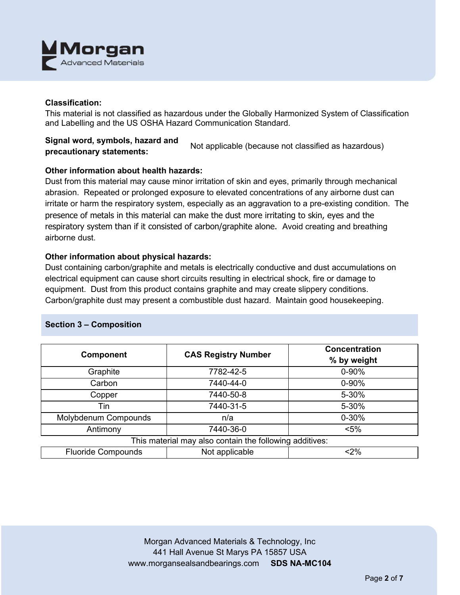

#### **Classification:**

This material is not classified as hazardous under the Globally Harmonized System of Classification and Labelling and the US OSHA Hazard Communication Standard.

# **Signal word, symbols, hazard and precautionary statements:** Not applicable (because not classified as hazardous)

## **Other information about health hazards:**

Dust from this material may cause minor irritation of skin and eyes, primarily through mechanical abrasion. Repeated or prolonged exposure to elevated concentrations of any airborne dust can irritate or harm the respiratory system, especially as an aggravation to a pre-existing condition. The presence of metals in this material can make the dust more irritating to skin, eyes and the respiratory system than if it consisted of carbon/graphite alone. Avoid creating and breathing airborne dust.

## **Other information about physical hazards:**

Dust containing carbon/graphite and metals is electrically conductive and dust accumulations on electrical equipment can cause short circuits resulting in electrical shock, fire or damage to equipment. Dust from this product contains graphite and may create slippery conditions. Carbon/graphite dust may present a combustible dust hazard. Maintain good housekeeping.

## **Section 3 – Composition**

| <b>Component</b>                                        | <b>CAS Registry Number</b> | <b>Concentration</b><br>% by weight |  |  |
|---------------------------------------------------------|----------------------------|-------------------------------------|--|--|
| Graphite                                                | 7782-42-5                  | 0-90%                               |  |  |
| Carbon                                                  | 7440-44-0                  | $0 - 90%$                           |  |  |
| Copper                                                  | 7440-50-8                  | 5-30%                               |  |  |
| Tin                                                     | 7440-31-5                  | 5-30%                               |  |  |
| Molybdenum Compounds                                    | n/a                        | $0 - 30%$                           |  |  |
| Antimony                                                | 7440-36-0                  | $< 5\%$                             |  |  |
| This material may also contain the following additives: |                            |                                     |  |  |
| <b>Fluoride Compounds</b>                               | Not applicable             | $<$ 2%                              |  |  |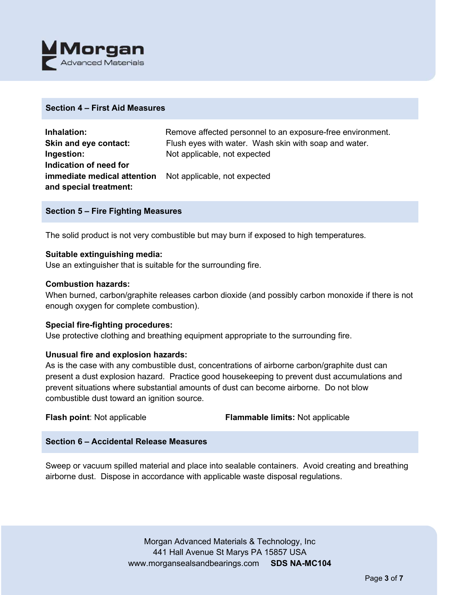

#### **Section 4 – First Aid Measures**

| Inhalation:                                                     | Remove affected personnel to an exposure-free environment. |
|-----------------------------------------------------------------|------------------------------------------------------------|
| Skin and eye contact:                                           | Flush eyes with water. Wash skin with soap and water.      |
| Ingestion:                                                      | Not applicable, not expected                               |
| Indication of need for                                          |                                                            |
| <b>immediate medical attention</b> Not applicable, not expected |                                                            |
| and special treatment:                                          |                                                            |

#### **Section 5 – Fire Fighting Measures**

The solid product is not very combustible but may burn if exposed to high temperatures.

#### **Suitable extinguishing media:**

Use an extinguisher that is suitable for the surrounding fire.

#### **Combustion hazards:**

When burned, carbon/graphite releases carbon dioxide (and possibly carbon monoxide if there is not enough oxygen for complete combustion).

#### **Special fire-fighting procedures:**

Use protective clothing and breathing equipment appropriate to the surrounding fire.

## **Unusual fire and explosion hazards:**

As is the case with any combustible dust, concentrations of airborne carbon/graphite dust can present a dust explosion hazard. Practice good housekeeping to prevent dust accumulations and prevent situations where substantial amounts of dust can become airborne. Do not blow combustible dust toward an ignition source.

**Flash point**: Not applicable **Flammable limits:** Not applicable

## **Section 6 – Accidental Release Measures**

Sweep or vacuum spilled material and place into sealable containers. Avoid creating and breathing airborne dust. Dispose in accordance with applicable waste disposal regulations.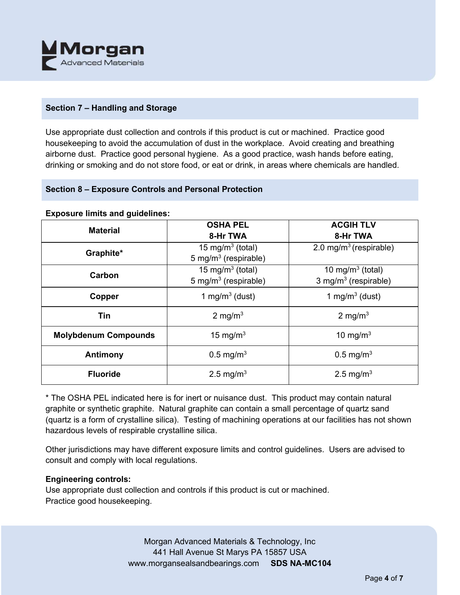

# **Section 7 – Handling and Storage**

Use appropriate dust collection and controls if this product is cut or machined. Practice good housekeeping to avoid the accumulation of dust in the workplace. Avoid creating and breathing airborne dust. Practice good personal hygiene. As a good practice, wash hands before eating, drinking or smoking and do not store food, or eat or drink, in areas where chemicals are handled.

## **Section 8 – Exposure Controls and Personal Protection**

| <b>Material</b>             | <b>OSHA PEL</b><br>8-Hr TWA                                      | <b>ACGIH TLV</b><br>8-Hr TWA                            |  |
|-----------------------------|------------------------------------------------------------------|---------------------------------------------------------|--|
| Graphite*                   | 15 mg/m <sup>3</sup> (total)<br>5 mg/m <sup>3</sup> (respirable) | 2.0 mg/m <sup>3</sup> (respirable)                      |  |
| Carbon                      | 15 mg/m $3$ (total)<br>5 mg/m <sup>3</sup> (respirable)          | 10 mg/m $3$ (total)<br>3 mg/m <sup>3</sup> (respirable) |  |
| Copper                      | 1 mg/m $3$ (dust)                                                | 1 mg/m <sup>3</sup> (dust)                              |  |
| <b>Tin</b>                  | 2 mg/m <sup>3</sup>                                              | 2 mg/m <sup>3</sup>                                     |  |
| <b>Molybdenum Compounds</b> | 15 mg/m $3$                                                      | 10 mg/m $3$                                             |  |
| Antimony                    | $0.5 \,\mathrm{mg/m^3}$                                          | $0.5 \,\mathrm{mg/m^3}$                                 |  |
| <b>Fluoride</b>             | 2.5 mg/m <sup>3</sup>                                            | 2.5 mg/m <sup>3</sup>                                   |  |

#### **Exposure limits and guidelines:**

\* The OSHA PEL indicated here is for inert or nuisance dust. This product may contain natural graphite or synthetic graphite. Natural graphite can contain a small percentage of quartz sand (quartz is a form of crystalline silica). Testing of machining operations at our facilities has not shown hazardous levels of respirable crystalline silica.

Other jurisdictions may have different exposure limits and control guidelines. Users are advised to consult and comply with local regulations.

## **Engineering controls:**

Use appropriate dust collection and controls if this product is cut or machined. Practice good housekeeping.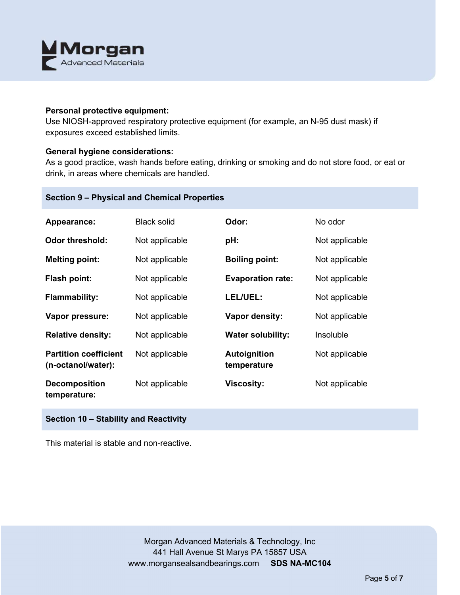

#### **Personal protective equipment:**

Use NIOSH-approved respiratory protective equipment (for example, an N-95 dust mask) if exposures exceed established limits.

#### **General hygiene considerations:**

As a good practice, wash hands before eating, drinking or smoking and do not store food, or eat or drink, in areas where chemicals are handled.

# **Section 9 – Physical and Chemical Properties**

| Appearance:                                        | <b>Black solid</b> | Odor:                       | No odor        |
|----------------------------------------------------|--------------------|-----------------------------|----------------|
| <b>Odor threshold:</b>                             | Not applicable     | pH:                         | Not applicable |
| <b>Melting point:</b>                              | Not applicable     | <b>Boiling point:</b>       | Not applicable |
| Flash point:                                       | Not applicable     | <b>Evaporation rate:</b>    | Not applicable |
| <b>Flammability:</b>                               | Not applicable     | LEL/UEL:                    | Not applicable |
| Vapor pressure:                                    | Not applicable     | <b>Vapor density:</b>       | Not applicable |
| <b>Relative density:</b>                           | Not applicable     | <b>Water solubility:</b>    | Insoluble      |
| <b>Partition coefficient</b><br>(n-octanol/water): | Not applicable     | Autoignition<br>temperature | Not applicable |
| <b>Decomposition</b><br>temperature:               | Not applicable     | <b>Viscosity:</b>           | Not applicable |

# **Section 10 – Stability and Reactivity**

This material is stable and non-reactive.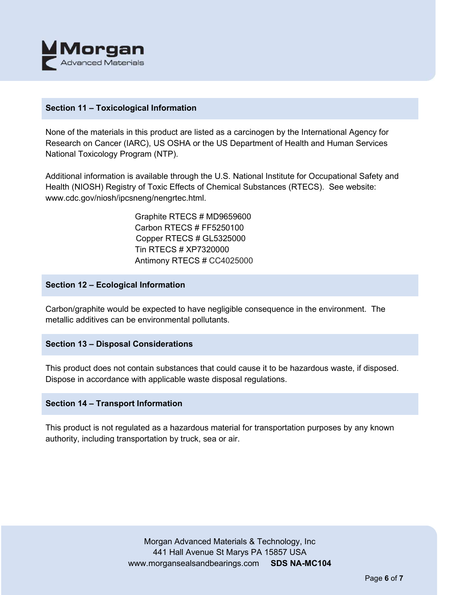

#### **Section 11 – Toxicological Information**

None of the materials in this product are listed as a carcinogen by the International Agency for Research on Cancer (IARC), US OSHA or the US Department of Health and Human Services National Toxicology Program (NTP).

Additional information is available through the U.S. National Institute for Occupational Safety and Health (NIOSH) Registry of Toxic Effects of Chemical Substances (RTECS). See website: www.cdc.gov/niosh/ipcsneng/nengrtec.html.

> Graphite RTECS # MD9659600 Carbon RTECS # FF5250100 Copper RTECS # GL5325000 Tin RTECS # XP7320000 Antimony RTECS # CC4025000

#### **Section 12 – Ecological Information**

Carbon/graphite would be expected to have negligible consequence in the environment. The metallic additives can be environmental pollutants.

## **Section 13 – Disposal Considerations**

This product does not contain substances that could cause it to be hazardous waste, if disposed. Dispose in accordance with applicable waste disposal regulations.

#### **Section 14 – Transport Information**

This product is not regulated as a hazardous material for transportation purposes by any known authority, including transportation by truck, sea or air.